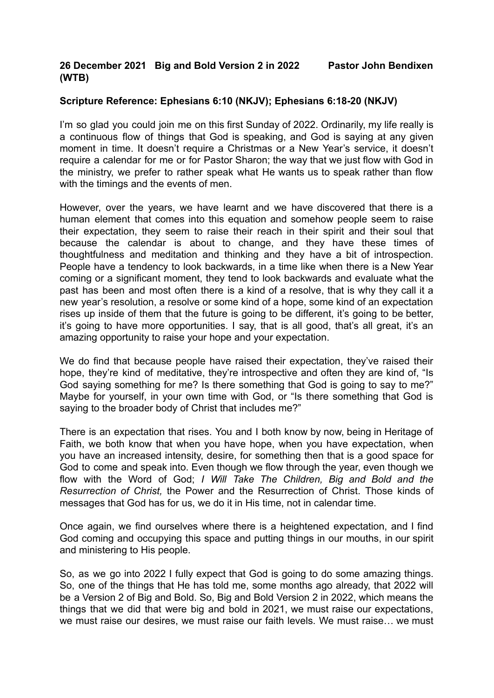## **Scripture Reference: Ephesians 6:10 (NKJV); Ephesians 6:18-20 (NKJV)**

I'm so glad you could join me on this first Sunday of 2022. Ordinarily, my life really is a continuous flow of things that God is speaking, and God is saying at any given moment in time. It doesn't require a Christmas or a New Year's service, it doesn't require a calendar for me or for Pastor Sharon; the way that we just flow with God in the ministry, we prefer to rather speak what He wants us to speak rather than flow with the timings and the events of men.

However, over the years, we have learnt and we have discovered that there is a human element that comes into this equation and somehow people seem to raise their expectation, they seem to raise their reach in their spirit and their soul that because the calendar is about to change, and they have these times of thoughtfulness and meditation and thinking and they have a bit of introspection. People have a tendency to look backwards, in a time like when there is a New Year coming or a significant moment, they tend to look backwards and evaluate what the past has been and most often there is a kind of a resolve, that is why they call it a new year's resolution, a resolve or some kind of a hope, some kind of an expectation rises up inside of them that the future is going to be different, it's going to be better, it's going to have more opportunities. I say, that is all good, that's all great, it's an amazing opportunity to raise your hope and your expectation.

We do find that because people have raised their expectation, they've raised their hope, they're kind of meditative, they're introspective and often they are kind of, "Is God saying something for me? Is there something that God is going to say to me?" Maybe for yourself, in your own time with God, or "Is there something that God is saying to the broader body of Christ that includes me?"

There is an expectation that rises. You and I both know by now, being in Heritage of Faith, we both know that when you have hope, when you have expectation, when you have an increased intensity, desire, for something then that is a good space for God to come and speak into. Even though we flow through the year, even though we flow with the Word of God; *I Will Take The Children, Big and Bold and the Resurrection of Christ,* the Power and the Resurrection of Christ. Those kinds of messages that God has for us, we do it in His time, not in calendar time.

Once again, we find ourselves where there is a heightened expectation, and I find God coming and occupying this space and putting things in our mouths, in our spirit and ministering to His people.

So, as we go into 2022 I fully expect that God is going to do some amazing things. So, one of the things that He has told me, some months ago already, that 2022 will be a Version 2 of Big and Bold. So, Big and Bold Version 2 in 2022, which means the things that we did that were big and bold in 2021, we must raise our expectations, we must raise our desires, we must raise our faith levels. We must raise… we must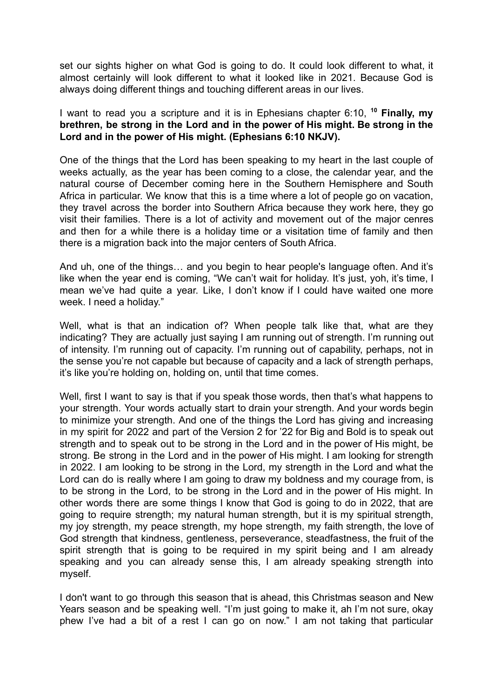set our sights higher on what God is going to do. It could look different to what, it almost certainly will look different to what it looked like in 2021. Because God is always doing different things and touching different areas in our lives.

I want to read you a scripture and it is in Ephesians chapter 6:10, **<sup>10</sup> Finally, my brethren, be strong in the Lord and in the power of His might. Be strong in the Lord and in the power of His might. (Ephesians 6:10 NKJV).**

One of the things that the Lord has been speaking to my heart in the last couple of weeks actually, as the year has been coming to a close, the calendar year, and the natural course of December coming here in the Southern Hemisphere and South Africa in particular. We know that this is a time where a lot of people go on vacation, they travel across the border into Southern Africa because they work here, they go visit their families. There is a lot of activity and movement out of the major cenres and then for a while there is a holiday time or a visitation time of family and then there is a migration back into the major centers of South Africa.

And uh, one of the things… and you begin to hear people's language often. And it's like when the year end is coming, "We can't wait for holiday. It's just, yoh, it's time, I mean we've had quite a year. Like, I don't know if I could have waited one more week. I need a holiday."

Well, what is that an indication of? When people talk like that, what are they indicating? They are actually just saying I am running out of strength. I'm running out of intensity. I'm running out of capacity. I'm running out of capability, perhaps, not in the sense you're not capable but because of capacity and a lack of strength perhaps, it's like you're holding on, holding on, until that time comes.

Well, first I want to say is that if you speak those words, then that's what happens to your strength. Your words actually start to drain your strength. And your words begin to minimize your strength. And one of the things the Lord has giving and increasing in my spirit for 2022 and part of the Version 2 for '22 for Big and Bold is to speak out strength and to speak out to be strong in the Lord and in the power of His might, be strong. Be strong in the Lord and in the power of His might. I am looking for strength in 2022. I am looking to be strong in the Lord, my strength in the Lord and what the Lord can do is really where I am going to draw my boldness and my courage from, is to be strong in the Lord, to be strong in the Lord and in the power of His might. In other words there are some things I know that God is going to do in 2022, that are going to require strength; my natural human strength, but it is my spiritual strength, my joy strength, my peace strength, my hope strength, my faith strength, the love of God strength that kindness, gentleness, perseverance, steadfastness, the fruit of the spirit strength that is going to be required in my spirit being and I am already speaking and you can already sense this, I am already speaking strength into myself.

I don't want to go through this season that is ahead, this Christmas season and New Years season and be speaking well. "I'm just going to make it, ah I'm not sure, okay phew I've had a bit of a rest I can go on now." I am not taking that particular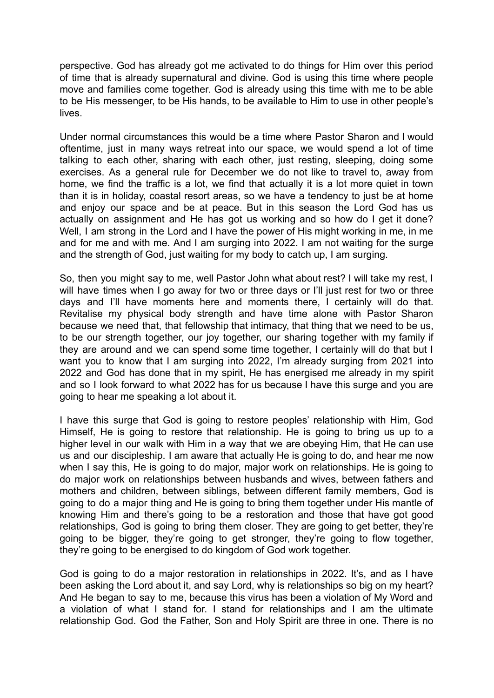perspective. God has already got me activated to do things for Him over this period of time that is already supernatural and divine. God is using this time where people move and families come together. God is already using this time with me to be able to be His messenger, to be His hands, to be available to Him to use in other people's lives.

Under normal circumstances this would be a time where Pastor Sharon and I would oftentime, just in many ways retreat into our space, we would spend a lot of time talking to each other, sharing with each other, just resting, sleeping, doing some exercises. As a general rule for December we do not like to travel to, away from home, we find the traffic is a lot, we find that actually it is a lot more quiet in town than it is in holiday, coastal resort areas, so we have a tendency to just be at home and enjoy our space and be at peace. But in this season the Lord God has us actually on assignment and He has got us working and so how do I get it done? Well, I am strong in the Lord and I have the power of His might working in me, in me and for me and with me. And I am surging into 2022. I am not waiting for the surge and the strength of God, just waiting for my body to catch up, I am surging.

So, then you might say to me, well Pastor John what about rest? I will take my rest, I will have times when I go away for two or three days or I'll just rest for two or three days and I'll have moments here and moments there, I certainly will do that. Revitalise my physical body strength and have time alone with Pastor Sharon because we need that, that fellowship that intimacy, that thing that we need to be us, to be our strength together, our joy together, our sharing together with my family if they are around and we can spend some time together, I certainly will do that but I want you to know that I am surging into 2022, I'm already surging from 2021 into 2022 and God has done that in my spirit, He has energised me already in my spirit and so I look forward to what 2022 has for us because I have this surge and you are going to hear me speaking a lot about it.

I have this surge that God is going to restore peoples' relationship with Him, God Himself, He is going to restore that relationship. He is going to bring us up to a higher level in our walk with Him in a way that we are obeying Him, that He can use us and our discipleship. I am aware that actually He is going to do, and hear me now when I say this, He is going to do major, major work on relationships. He is going to do major work on relationships between husbands and wives, between fathers and mothers and children, between siblings, between different family members, God is going to do a major thing and He is going to bring them together under His mantle of knowing Him and there's going to be a restoration and those that have got good relationships, God is going to bring them closer. They are going to get better, they're going to be bigger, they're going to get stronger, they're going to flow together, they're going to be energised to do kingdom of God work together.

God is going to do a major restoration in relationships in 2022. It's, and as I have been asking the Lord about it, and say Lord, why is relationships so big on my heart? And He began to say to me, because this virus has been a violation of My Word and a violation of what I stand for. I stand for relationships and I am the ultimate relationship God. God the Father, Son and Holy Spirit are three in one. There is no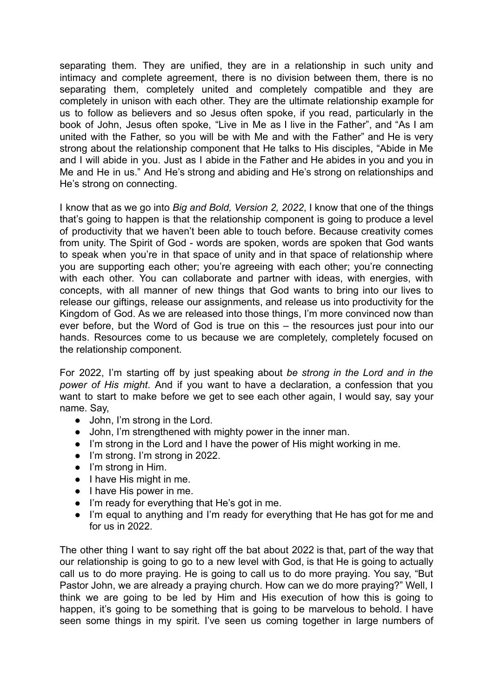separating them. They are unified, they are in a relationship in such unity and intimacy and complete agreement, there is no division between them, there is no separating them, completely united and completely compatible and they are completely in unison with each other. They are the ultimate relationship example for us to follow as believers and so Jesus often spoke, if you read, particularly in the book of John, Jesus often spoke, "Live in Me as I live in the Father", and "As I am united with the Father, so you will be with Me and with the Father" and He is very strong about the relationship component that He talks to His disciples, "Abide in Me and I will abide in you. Just as I abide in the Father and He abides in you and you in Me and He in us." And He's strong and abiding and He's strong on relationships and He's strong on connecting.

I know that as we go into *Big and Bold, Version 2, 2022*, I know that one of the things that's going to happen is that the relationship component is going to produce a level of productivity that we haven't been able to touch before. Because creativity comes from unity. The Spirit of God - words are spoken, words are spoken that God wants to speak when you're in that space of unity and in that space of relationship where you are supporting each other; you're agreeing with each other; you're connecting with each other. You can collaborate and partner with ideas, with energies, with concepts, with all manner of new things that God wants to bring into our lives to release our giftings, release our assignments, and release us into productivity for the Kingdom of God. As we are released into those things, I'm more convinced now than ever before, but the Word of God is true on this – the resources just pour into our hands. Resources come to us because we are completely, completely focused on the relationship component.

For 2022, I'm starting off by just speaking about *be strong in the Lord and in the power of His might*. And if you want to have a declaration, a confession that you want to start to make before we get to see each other again, I would say, say your name. Say,

- John, I'm strong in the Lord.
- John, I'm strengthened with mighty power in the inner man.
- I'm strong in the Lord and I have the power of His might working in me.
- I'm strong. I'm strong in 2022.
- I'm strong in Him.
- I have His might in me.
- I have His power in me.
- I'm ready for everything that He's got in me.
- I'm equal to anything and I'm ready for everything that He has got for me and for us in 2022.

The other thing I want to say right off the bat about 2022 is that, part of the way that our relationship is going to go to a new level with God, is that He is going to actually call us to do more praying. He is going to call us to do more praying. You say, "But Pastor John, we are already a praying church. How can we do more praying?" Well, I think we are going to be led by Him and His execution of how this is going to happen, it's going to be something that is going to be marvelous to behold. I have seen some things in my spirit. I've seen us coming together in large numbers of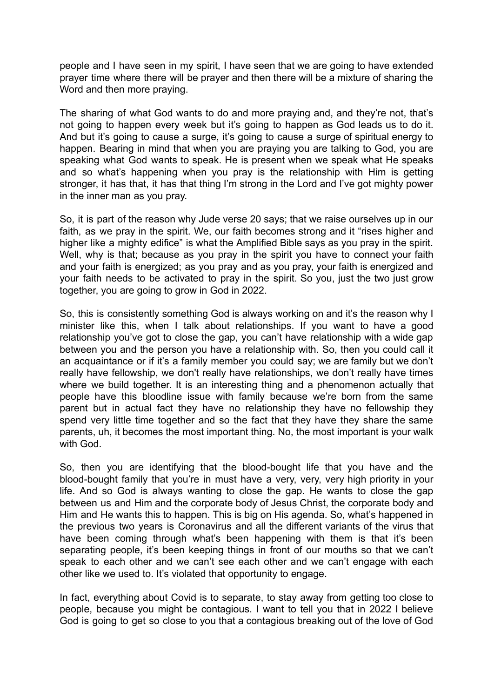people and I have seen in my spirit, I have seen that we are going to have extended prayer time where there will be prayer and then there will be a mixture of sharing the Word and then more praying.

The sharing of what God wants to do and more praying and, and they're not, that's not going to happen every week but it's going to happen as God leads us to do it. And but it's going to cause a surge, it's going to cause a surge of spiritual energy to happen. Bearing in mind that when you are praying you are talking to God, you are speaking what God wants to speak. He is present when we speak what He speaks and so what's happening when you pray is the relationship with Him is getting stronger, it has that, it has that thing I'm strong in the Lord and I've got mighty power in the inner man as you pray.

So, it is part of the reason why Jude verse 20 says; that we raise ourselves up in our faith, as we pray in the spirit. We, our faith becomes strong and it "rises higher and higher like a mighty edifice" is what the Amplified Bible says as you pray in the spirit. Well, why is that; because as you pray in the spirit you have to connect your faith and your faith is energized; as you pray and as you pray, your faith is energized and your faith needs to be activated to pray in the spirit. So you, just the two just grow together, you are going to grow in God in 2022.

So, this is consistently something God is always working on and it's the reason why I minister like this, when I talk about relationships. If you want to have a good relationship you've got to close the gap, you can't have relationship with a wide gap between you and the person you have a relationship with. So, then you could call it an acquaintance or if it's a family member you could say; we are family but we don't really have fellowship, we don't really have relationships, we don't really have times where we build together. It is an interesting thing and a phenomenon actually that people have this bloodline issue with family because we're born from the same parent but in actual fact they have no relationship they have no fellowship they spend very little time together and so the fact that they have they share the same parents, uh, it becomes the most important thing. No, the most important is your walk with God.

So, then you are identifying that the blood-bought life that you have and the blood-bought family that you're in must have a very, very, very high priority in your life. And so God is always wanting to close the gap. He wants to close the gap between us and Him and the corporate body of Jesus Christ, the corporate body and Him and He wants this to happen. This is big on His agenda. So, what's happened in the previous two years is Coronavirus and all the different variants of the virus that have been coming through what's been happening with them is that it's been separating people, it's been keeping things in front of our mouths so that we can't speak to each other and we can't see each other and we can't engage with each other like we used to. It's violated that opportunity to engage.

In fact, everything about Covid is to separate, to stay away from getting too close to people, because you might be contagious. I want to tell you that in 2022 I believe God is going to get so close to you that a contagious breaking out of the love of God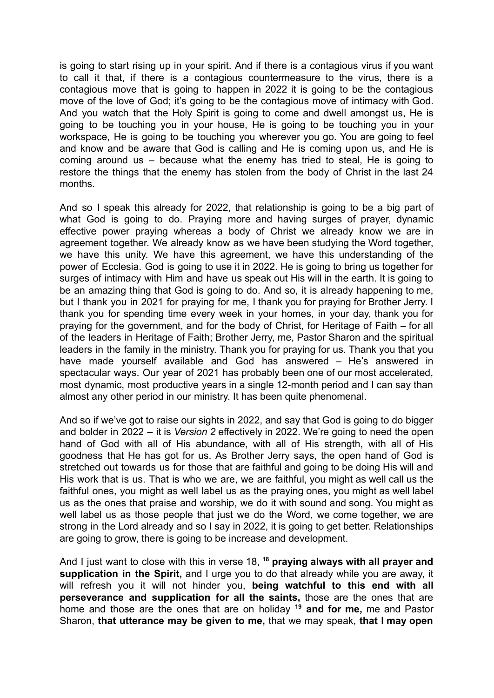is going to start rising up in your spirit. And if there is a contagious virus if you want to call it that, if there is a contagious countermeasure to the virus, there is a contagious move that is going to happen in 2022 it is going to be the contagious move of the love of God; it's going to be the contagious move of intimacy with God. And you watch that the Holy Spirit is going to come and dwell amongst us, He is going to be touching you in your house, He is going to be touching you in your workspace, He is going to be touching you wherever you go. You are going to feel and know and be aware that God is calling and He is coming upon us, and He is coming around us – because what the enemy has tried to steal, He is going to restore the things that the enemy has stolen from the body of Christ in the last 24 months.

And so I speak this already for 2022, that relationship is going to be a big part of what God is going to do. Praying more and having surges of prayer, dynamic effective power praying whereas a body of Christ we already know we are in agreement together. We already know as we have been studying the Word together, we have this unity. We have this agreement, we have this understanding of the power of Ecclesia. God is going to use it in 2022. He is going to bring us together for surges of intimacy with Him and have us speak out His will in the earth. It is going to be an amazing thing that God is going to do. And so, it is already happening to me, but I thank you in 2021 for praying for me, I thank you for praying for Brother Jerry. I thank you for spending time every week in your homes, in your day, thank you for praying for the government, and for the body of Christ, for Heritage of Faith – for all of the leaders in Heritage of Faith; Brother Jerry, me, Pastor Sharon and the spiritual leaders in the family in the ministry. Thank you for praying for us. Thank you that you have made yourself available and God has answered – He's answered in spectacular ways. Our year of 2021 has probably been one of our most accelerated, most dynamic, most productive years in a single 12-month period and I can say than almost any other period in our ministry. It has been quite phenomenal.

And so if we've got to raise our sights in 2022, and say that God is going to do bigger and bolder in 2022 – it is *Version 2* effectively in 2022. We're going to need the open hand of God with all of His abundance, with all of His strength, with all of His goodness that He has got for us. As Brother Jerry says, the open hand of God is stretched out towards us for those that are faithful and going to be doing His will and His work that is us. That is who we are, we are faithful, you might as well call us the faithful ones, you might as well label us as the praying ones, you might as well label us as the ones that praise and worship, we do it with sound and song. You might as well label us as those people that just we do the Word, we come together, we are strong in the Lord already and so I say in 2022, it is going to get better. Relationships are going to grow, there is going to be increase and development.

And I just want to close with this in verse 18, **<sup>18</sup> praying always with all prayer and supplication in the Spirit,** and I urge you to do that already while you are away, it will refresh you it will not hinder you, **being watchful to this end with all perseverance and supplication for all the saints,** those are the ones that are home and those are the ones that are on holiday **<sup>19</sup> and for me,** me and Pastor Sharon, **that utterance may be given to me,** that we may speak, **that I may open**